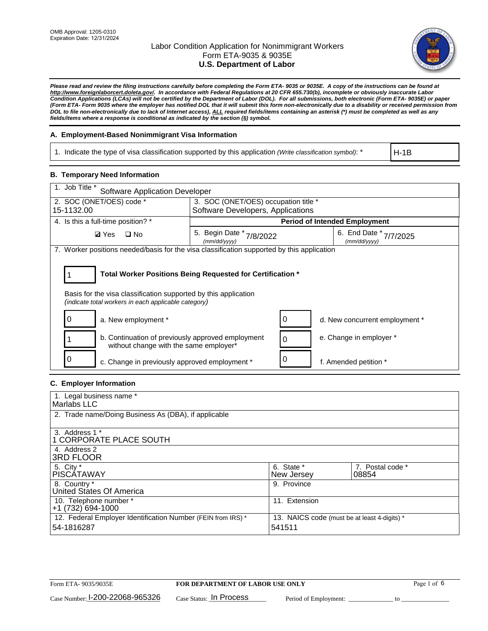

*Please read and review the filing instructions carefully before completing the Form ETA- 9035 or 9035E. A copy of the instructions can be found at http://www.foreignlaborcert.doleta.gov/. In accordance with Federal Regulations at 20 CFR 655.730(b), incomplete or obviously inaccurate Labor Condition Applications (LCAs) will not be certified by the Department of Labor (DOL). For all submissions, both electronic (Form ETA- 9035E) or paper (Form ETA- Form 9035 where the employer has notified DOL that it will submit this form non-electronically due to a disability or received permission from DOL to file non-electronically due to lack of Internet access), ALL required fields/items containing an asterisk (\*) must be completed as well as any fields/items where a response is conditional as indicated by the section (§) symbol.* 

### **A. Employment-Based Nonimmigrant Visa Information**

1. Indicate the type of visa classification supported by this application *(Write classification symbol)*: \*

H-1B

### **B. Temporary Need Information**

| 1. Job Title *<br><b>Software Application Developer</b>                                                                                                                               |                                      |                                                                        |                                      |  |  |  |
|---------------------------------------------------------------------------------------------------------------------------------------------------------------------------------------|--------------------------------------|------------------------------------------------------------------------|--------------------------------------|--|--|--|
| 2. SOC (ONET/OES) code *                                                                                                                                                              | 3. SOC (ONET/OES) occupation title * |                                                                        |                                      |  |  |  |
| 15-1132.00                                                                                                                                                                            | Software Developers, Applications    |                                                                        |                                      |  |  |  |
| 4. Is this a full-time position? *                                                                                                                                                    |                                      |                                                                        | <b>Period of Intended Employment</b> |  |  |  |
| <b>Ø</b> Yes<br>$\Box$ No                                                                                                                                                             | (mm/dd/yyyy)                         | 5. Begin Date * 7/8/2022<br>6. End Date $*_{7/7/2025}$<br>(mm/dd/yyyy) |                                      |  |  |  |
| 7. Worker positions needed/basis for the visa classification supported by this application                                                                                            |                                      |                                                                        |                                      |  |  |  |
| Total Worker Positions Being Requested for Certification *<br>Basis for the visa classification supported by this application<br>(indicate total workers in each applicable category) |                                      |                                                                        |                                      |  |  |  |
| a. New employment *                                                                                                                                                                   |                                      |                                                                        | d. New concurrent employment *       |  |  |  |
| b. Continuation of previously approved employment<br>without change with the same employer*                                                                                           |                                      |                                                                        | e. Change in employer *              |  |  |  |
| c. Change in previously approved employment *                                                                                                                                         |                                      |                                                                        | f. Amended petition *                |  |  |  |

### **C. Employer Information**

| 1. Legal business name *                                     |                                              |                  |
|--------------------------------------------------------------|----------------------------------------------|------------------|
| Marlabs LLC                                                  |                                              |                  |
| 2. Trade name/Doing Business As (DBA), if applicable         |                                              |                  |
|                                                              |                                              |                  |
| 3. Address 1 *                                               |                                              |                  |
| 1 CORPORATE PLACE SOUTH                                      |                                              |                  |
| 4. Address 2                                                 |                                              |                  |
| <b>3RD FLOOR</b>                                             |                                              |                  |
| 5. City *                                                    | 6. State *                                   | 7. Postal code * |
| PISCÁTAWAY                                                   | New Jersey                                   | 08854            |
| 8. Country *                                                 | 9. Province                                  |                  |
| United States Of America                                     |                                              |                  |
| 10. Telephone number *                                       | 11. Extension                                |                  |
| $+1(732)694-1000$                                            |                                              |                  |
| 12. Federal Employer Identification Number (FEIN from IRS) * | 13. NAICS code (must be at least 4-digits) * |                  |
| 54-1816287                                                   | 541511                                       |                  |
|                                                              |                                              |                  |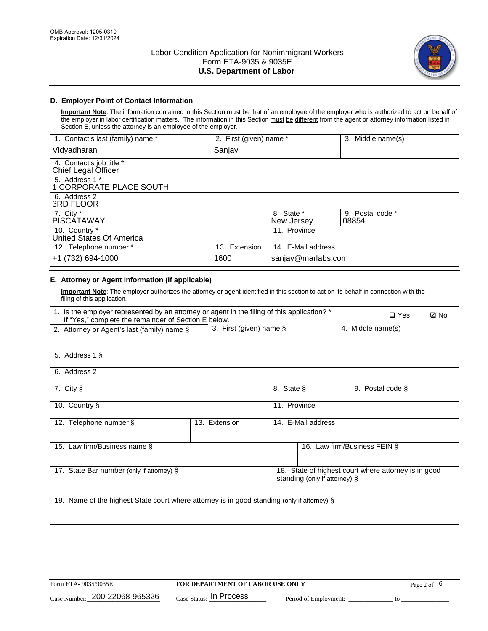

## **D. Employer Point of Contact Information**

**Important Note**: The information contained in this Section must be that of an employee of the employer who is authorized to act on behalf of the employer in labor certification matters. The information in this Section must be different from the agent or attorney information listed in Section E, unless the attorney is an employee of the employer.

| 1. Contact's last (family) name *               | 2. First (given) name * |                          | 3. Middle name(s)         |
|-------------------------------------------------|-------------------------|--------------------------|---------------------------|
| Vidyadharan                                     | Sanjay                  |                          |                           |
| 4. Contact's job title *<br>Chief Legal Officer |                         |                          |                           |
| 5. Address 1 *<br>1 CORPORATE PLACE SOUTH       |                         |                          |                           |
| 6. Address 2<br>3RD FLOOR                       |                         |                          |                           |
| 7. City $*$<br><b>PISCÁTAWAY</b>                |                         | 8. State *<br>New Jersey | 9. Postal code *<br>08854 |
| 10. Country *<br>United States Of America       |                         | 11. Province             |                           |
| 12. Telephone number *                          | 13. Extension           | 14. E-Mail address       |                           |
| +1 (732) 694-1000                               | 1600                    | sanjay@marlabs.com       |                           |

# **E. Attorney or Agent Information (If applicable)**

**Important Note**: The employer authorizes the attorney or agent identified in this section to act on its behalf in connection with the filing of this application.

| 1. Is the employer represented by an attorney or agent in the filing of this application? *<br>If "Yes," complete the remainder of Section E below. |                         |              |                               |                   | $\Box$ Yes                                           | <b>ØNo</b> |
|-----------------------------------------------------------------------------------------------------------------------------------------------------|-------------------------|--------------|-------------------------------|-------------------|------------------------------------------------------|------------|
| 2. Attorney or Agent's last (family) name §                                                                                                         | 3. First (given) name § |              |                               | 4. Middle name(s) |                                                      |            |
| 5. Address 1 §                                                                                                                                      |                         |              |                               |                   |                                                      |            |
| 6. Address 2                                                                                                                                        |                         |              |                               |                   |                                                      |            |
| 7. City §                                                                                                                                           |                         | 8. State §   |                               |                   | 9. Postal code §                                     |            |
| 10. Country §                                                                                                                                       |                         | 11. Province |                               |                   |                                                      |            |
| 12. Telephone number §                                                                                                                              | 13. Extension           |              | 14. E-Mail address            |                   |                                                      |            |
| 15. Law firm/Business name §                                                                                                                        |                         |              | 16. Law firm/Business FEIN §  |                   |                                                      |            |
| 17. State Bar number (only if attorney) §                                                                                                           |                         |              | standing (only if attorney) § |                   | 18. State of highest court where attorney is in good |            |
| 19. Name of the highest State court where attorney is in good standing (only if attorney) §                                                         |                         |              |                               |                   |                                                      |            |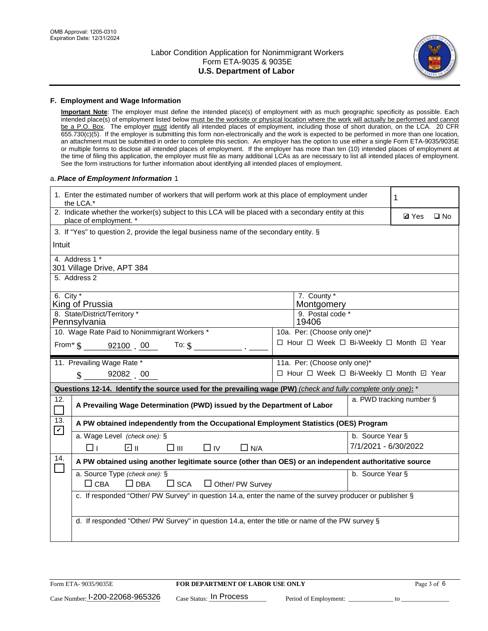

#### **F. Employment and Wage Information**

**Important Note**: The employer must define the intended place(s) of employment with as much geographic specificity as possible. Each intended place(s) of employment listed below must be the worksite or physical location where the work will actually be performed and cannot be a P.O. Box. The employer must identify all intended places of employment, including those of short duration, on the LCA. 20 CFR 655.730(c)(5). If the employer is submitting this form non-electronically and the work is expected to be performed in more than one location, an attachment must be submitted in order to complete this section. An employer has the option to use either a single Form ETA-9035/9035E or multiple forms to disclose all intended places of employment. If the employer has more than ten (10) intended places of employment at the time of filing this application, the employer must file as many additional LCAs as are necessary to list all intended places of employment. See the form instructions for further information about identifying all intended places of employment.

#### a.*Place of Employment Information* 1

|               | 1. Enter the estimated number of workers that will perform work at this place of employment under<br>the LCA.*                 |  |                                               |                          |  |              |  |  |
|---------------|--------------------------------------------------------------------------------------------------------------------------------|--|-----------------------------------------------|--------------------------|--|--------------|--|--|
|               | 2. Indicate whether the worker(s) subject to this LCA will be placed with a secondary entity at this<br>place of employment. * |  |                                               |                          |  | $\square$ No |  |  |
|               | 3. If "Yes" to question 2, provide the legal business name of the secondary entity. §                                          |  |                                               |                          |  |              |  |  |
| Intuit        |                                                                                                                                |  |                                               |                          |  |              |  |  |
|               | 4. Address 1 *<br>301 Village Drive, APT 384                                                                                   |  |                                               |                          |  |              |  |  |
|               | 5. Address 2                                                                                                                   |  |                                               |                          |  |              |  |  |
| 6. City $*$   | King of Prussia<br>8. State/District/Territory *                                                                               |  | 7. County *<br>Montgomery<br>9. Postal code * |                          |  |              |  |  |
|               | Pennsylvania                                                                                                                   |  | 19406                                         |                          |  |              |  |  |
|               | 10. Wage Rate Paid to Nonimmigrant Workers *                                                                                   |  | 10a. Per: (Choose only one)*                  |                          |  |              |  |  |
|               | □ Hour □ Week □ Bi-Weekly □ Month ☑ Year<br>From* \$ 92100 00<br>To: $$$                                                       |  |                                               |                          |  |              |  |  |
|               | 11. Prevailing Wage Rate *                                                                                                     |  | 11a. Per: (Choose only one)*                  |                          |  |              |  |  |
|               | $\sin 92082$ 00                                                                                                                |  | □ Hour □ Week □ Bi-Weekly □ Month ☑ Year      |                          |  |              |  |  |
|               | Questions 12-14. Identify the source used for the prevailing wage (PW) (check and fully complete only one): *                  |  |                                               |                          |  |              |  |  |
| 12.<br>$\Box$ | A Prevailing Wage Determination (PWD) issued by the Department of Labor                                                        |  |                                               | a. PWD tracking number § |  |              |  |  |
| 13.           | A PW obtained independently from the Occupational Employment Statistics (OES) Program                                          |  |                                               |                          |  |              |  |  |
| $\mathbf v$   | a. Wage Level (check one): §                                                                                                   |  |                                               | b. Source Year §         |  |              |  |  |
|               | பெ<br>□⊪<br>$\Box$ IV<br>$\Box$ N/A<br>□⊥                                                                                      |  |                                               | 7/1/2021 - 6/30/2022     |  |              |  |  |
| 14.           | A PW obtained using another legitimate source (other than OES) or an independent authoritative source                          |  |                                               |                          |  |              |  |  |
|               | a. Source Type (check one): §<br>b. Source Year §<br>$\Box$ CBA<br>$\Box$ DBA<br>$\square$ SCA<br>$\Box$ Other/ PW Survey      |  |                                               |                          |  |              |  |  |
|               | c. If responded "Other/ PW Survey" in question 14.a, enter the name of the survey producer or publisher §                      |  |                                               |                          |  |              |  |  |
|               | d. If responded "Other/ PW Survey" in question 14.a, enter the title or name of the PW survey §                                |  |                                               |                          |  |              |  |  |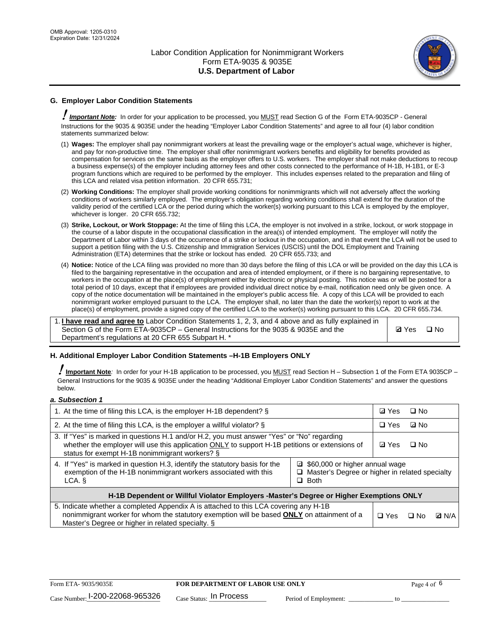

## **G. Employer Labor Condition Statements**

! *Important Note:* In order for your application to be processed, you MUST read Section G of the Form ETA-9035CP - General Instructions for the 9035 & 9035E under the heading "Employer Labor Condition Statements" and agree to all four (4) labor condition statements summarized below:

- (1) **Wages:** The employer shall pay nonimmigrant workers at least the prevailing wage or the employer's actual wage, whichever is higher, and pay for non-productive time. The employer shall offer nonimmigrant workers benefits and eligibility for benefits provided as compensation for services on the same basis as the employer offers to U.S. workers. The employer shall not make deductions to recoup a business expense(s) of the employer including attorney fees and other costs connected to the performance of H-1B, H-1B1, or E-3 program functions which are required to be performed by the employer. This includes expenses related to the preparation and filing of this LCA and related visa petition information. 20 CFR 655.731;
- (2) **Working Conditions:** The employer shall provide working conditions for nonimmigrants which will not adversely affect the working conditions of workers similarly employed. The employer's obligation regarding working conditions shall extend for the duration of the validity period of the certified LCA or the period during which the worker(s) working pursuant to this LCA is employed by the employer, whichever is longer. 20 CFR 655.732;
- (3) **Strike, Lockout, or Work Stoppage:** At the time of filing this LCA, the employer is not involved in a strike, lockout, or work stoppage in the course of a labor dispute in the occupational classification in the area(s) of intended employment. The employer will notify the Department of Labor within 3 days of the occurrence of a strike or lockout in the occupation, and in that event the LCA will not be used to support a petition filing with the U.S. Citizenship and Immigration Services (USCIS) until the DOL Employment and Training Administration (ETA) determines that the strike or lockout has ended. 20 CFR 655.733; and
- (4) **Notice:** Notice of the LCA filing was provided no more than 30 days before the filing of this LCA or will be provided on the day this LCA is filed to the bargaining representative in the occupation and area of intended employment, or if there is no bargaining representative, to workers in the occupation at the place(s) of employment either by electronic or physical posting. This notice was or will be posted for a total period of 10 days, except that if employees are provided individual direct notice by e-mail, notification need only be given once. A copy of the notice documentation will be maintained in the employer's public access file. A copy of this LCA will be provided to each nonimmigrant worker employed pursuant to the LCA. The employer shall, no later than the date the worker(s) report to work at the place(s) of employment, provide a signed copy of the certified LCA to the worker(s) working pursuant to this LCA. 20 CFR 655.734.

1. **I have read and agree to** Labor Condition Statements 1, 2, 3, and 4 above and as fully explained in Section G of the Form ETA-9035CP – General Instructions for the 9035 & 9035E and the Department's regulations at 20 CFR 655 Subpart H. \*

**Ø**Yes ロNo

### **H. Additional Employer Labor Condition Statements –H-1B Employers ONLY**

!**Important Note***:* In order for your H-1B application to be processed, you MUST read Section H – Subsection 1 of the Form ETA 9035CP – General Instructions for the 9035 & 9035E under the heading "Additional Employer Labor Condition Statements" and answer the questions below.

#### *a. Subsection 1*

| 1. At the time of filing this LCA, is the employer H-1B dependent? §                                                                                                                                                                                          |  |  | □ No      |              |
|---------------------------------------------------------------------------------------------------------------------------------------------------------------------------------------------------------------------------------------------------------------|--|--|-----------|--------------|
| 2. At the time of filing this LCA, is the employer a willful violator? $\S$                                                                                                                                                                                   |  |  | ⊡ No      |              |
| 3. If "Yes" is marked in questions H.1 and/or H.2, you must answer "Yes" or "No" regarding<br>whether the employer will use this application ONLY to support H-1B petitions or extensions of<br>status for exempt H-1B nonimmigrant workers? §                |  |  | $\Box$ No |              |
| 4. If "Yes" is marked in question H.3, identify the statutory basis for the<br>■ \$60,000 or higher annual wage<br>exemption of the H-1B nonimmigrant workers associated with this<br>□ Master's Degree or higher in related specialty<br>$\Box$ Both<br>LCA. |  |  |           |              |
| H-1B Dependent or Willful Violator Employers -Master's Degree or Higher Exemptions ONLY                                                                                                                                                                       |  |  |           |              |
| 5. Indicate whether a completed Appendix A is attached to this LCA covering any H-1B<br>nonimmigrant worker for whom the statutory exemption will be based <b>ONLY</b> on attainment of a<br>Master's Degree or higher in related specialty. §                |  |  | ⊡ No      | <b>D</b> N/A |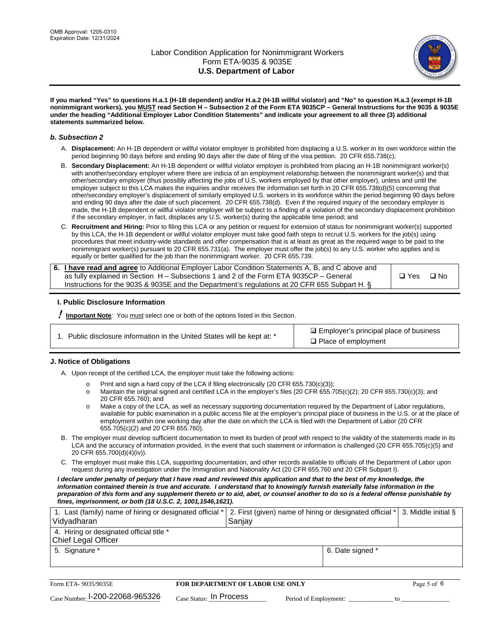

**If you marked "Yes" to questions H.a.1 (H-1B dependent) and/or H.a.2 (H-1B willful violator) and "No" to question H.a.3 (exempt H-1B nonimmigrant workers), you MUST read Section H – Subsection 2 of the Form ETA 9035CP – General Instructions for the 9035 & 9035E under the heading "Additional Employer Labor Condition Statements" and indicate your agreement to all three (3) additional statements summarized below.**

#### *b. Subsection 2*

- A. **Displacement:** An H-1B dependent or willful violator employer is prohibited from displacing a U.S. worker in its own workforce within the period beginning 90 days before and ending 90 days after the date of filing of the visa petition. 20 CFR 655.738(c);
- B. **Secondary Displacement:** An H-1B dependent or willful violator employer is prohibited from placing an H-1B nonimmigrant worker(s) with another/secondary employer where there are indicia of an employment relationship between the nonimmigrant worker(s) and that other/secondary employer (thus possibly affecting the jobs of U.S. workers employed by that other employer), unless and until the employer subject to this LCA makes the inquiries and/or receives the information set forth in 20 CFR 655.738(d)(5) concerning that other/secondary employer's displacement of similarly employed U.S. workers in its workforce within the period beginning 90 days before and ending 90 days after the date of such placement. 20 CFR 655.738(d). Even if the required inquiry of the secondary employer is made, the H-1B dependent or willful violator employer will be subject to a finding of a violation of the secondary displacement prohibition if the secondary employer, in fact, displaces any U.S. worker(s) during the applicable time period; and
- C. **Recruitment and Hiring:** Prior to filing this LCA or any petition or request for extension of status for nonimmigrant worker(s) supported by this LCA, the H-1B dependent or willful violator employer must take good faith steps to recruit U.S. workers for the job(s) using procedures that meet industry-wide standards and offer compensation that is at least as great as the required wage to be paid to the nonimmigrant worker(s) pursuant to 20 CFR 655.731(a). The employer must offer the job(s) to any U.S. worker who applies and is equally or better qualified for the job than the nonimmigrant worker. 20 CFR 655.739.

| 6. I have read and agree to Additional Employer Labor Condition Statements A, B, and C above and |       |           |
|--------------------------------------------------------------------------------------------------|-------|-----------|
| as fully explained in Section H – Subsections 1 and 2 of the Form ETA 9035CP – General           | □ Yes | $\Box$ No |
| Instructions for the 9035 & 9035E and the Department's regulations at 20 CFR 655 Subpart H. §    |       |           |

### **I. Public Disclosure Information**

! **Important Note***:* You must select one or both of the options listed in this Section.

**sqrt** Employer's principal place of business □ Place of employment

### **J. Notice of Obligations**

A. Upon receipt of the certified LCA, the employer must take the following actions:

- o Print and sign a hard copy of the LCA if filing electronically (20 CFR 655.730(c)(3));<br>
Maintain the original signed and certified LCA in the employer's files (20 CFR 655.7
- Maintain the original signed and certified LCA in the employer's files (20 CFR 655.705(c)(2); 20 CFR 655.730(c)(3); and 20 CFR 655.760); and
- o Make a copy of the LCA, as well as necessary supporting documentation required by the Department of Labor regulations, available for public examination in a public access file at the employer's principal place of business in the U.S. or at the place of employment within one working day after the date on which the LCA is filed with the Department of Labor (20 CFR 655.705(c)(2) and 20 CFR 655.760).
- B. The employer must develop sufficient documentation to meet its burden of proof with respect to the validity of the statements made in its LCA and the accuracy of information provided, in the event that such statement or information is challenged (20 CFR 655.705(c)(5) and 20 CFR 655.700(d)(4)(iv)).
- C. The employer must make this LCA, supporting documentation, and other records available to officials of the Department of Labor upon request during any investigation under the Immigration and Nationality Act (20 CFR 655.760 and 20 CFR Subpart I).

*I declare under penalty of perjury that I have read and reviewed this application and that to the best of my knowledge, the*  information contained therein is true and accurate. I understand that to knowingly furnish materially false information in the *preparation of this form and any supplement thereto or to aid, abet, or counsel another to do so is a federal offense punishable by fines, imprisonment, or both (18 U.S.C. 2, 1001,1546,1621).*

| 1. Last (family) name of hiring or designated official *   2. First (given) name of hiring or designated official *   3. Middle initial §<br>Vidyadharan | Saniav           |  |
|----------------------------------------------------------------------------------------------------------------------------------------------------------|------------------|--|
| 4. Hiring or designated official title *<br>Chief Legal Officer                                                                                          |                  |  |
| 5. Signature *                                                                                                                                           | 6. Date signed * |  |

| Form ETA-9035/9035E                         | <b>FOR DEPARTMENT OF LABOR USE ONLY</b> |                       |  | Page 5 of 6 |
|---------------------------------------------|-----------------------------------------|-----------------------|--|-------------|
| $_{\text{Case Number:}}$ I-200-22068-965326 | $_{\rm Case~S status:}$ In Process      | Period of Employment: |  |             |